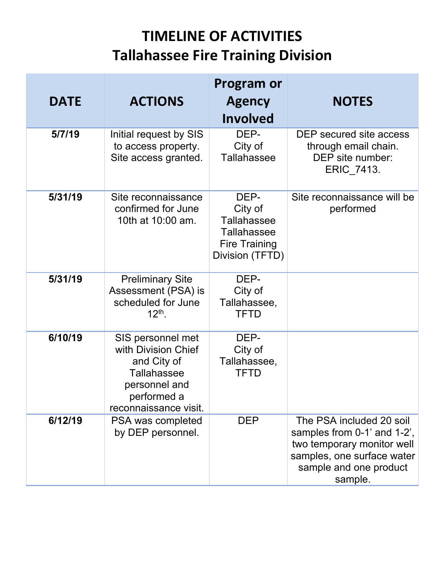## **TIMELINE OF ACTIVITIES Tallahassee Fire Training Division**

|             |                                                                                                                                        | <b>Program or</b>                                                                                      |                                                                                                                                                          |
|-------------|----------------------------------------------------------------------------------------------------------------------------------------|--------------------------------------------------------------------------------------------------------|----------------------------------------------------------------------------------------------------------------------------------------------------------|
| <b>DATE</b> | <b>ACTIONS</b>                                                                                                                         | <b>Agency</b><br><b>Involved</b>                                                                       | <b>NOTES</b>                                                                                                                                             |
| 5/7/19      | Initial request by SIS<br>to access property.<br>Site access granted.                                                                  | DEP-<br>City of<br><b>Tallahassee</b>                                                                  | DEP secured site access<br>through email chain.<br>DEP site number:<br>ERIC_7413.                                                                        |
| 5/31/19     | Site reconnaissance<br>confirmed for June<br>10th at 10:00 am.                                                                         | DEP-<br>City of<br><b>Tallahassee</b><br><b>Tallahassee</b><br><b>Fire Training</b><br>Division (TFTD) | Site reconnaissance will be<br>performed                                                                                                                 |
| 5/31/19     | <b>Preliminary Site</b><br>Assessment (PSA) is<br>scheduled for June<br>$12^{th}$ .                                                    | DEP-<br>City of<br>Tallahassee,<br><b>TFTD</b>                                                         |                                                                                                                                                          |
| 6/10/19     | SIS personnel met<br>with Division Chief<br>and City of<br><b>Tallahassee</b><br>personnel and<br>performed a<br>reconnaissance visit. | DEP-<br>City of<br>Tallahassee,<br><b>TFTD</b>                                                         |                                                                                                                                                          |
| 6/12/19     | PSA was completed<br>by DEP personnel.                                                                                                 | <b>DEP</b>                                                                                             | The PSA included 20 soil<br>samples from 0-1' and 1-2',<br>two temporary monitor well<br>samples, one surface water<br>sample and one product<br>sample. |